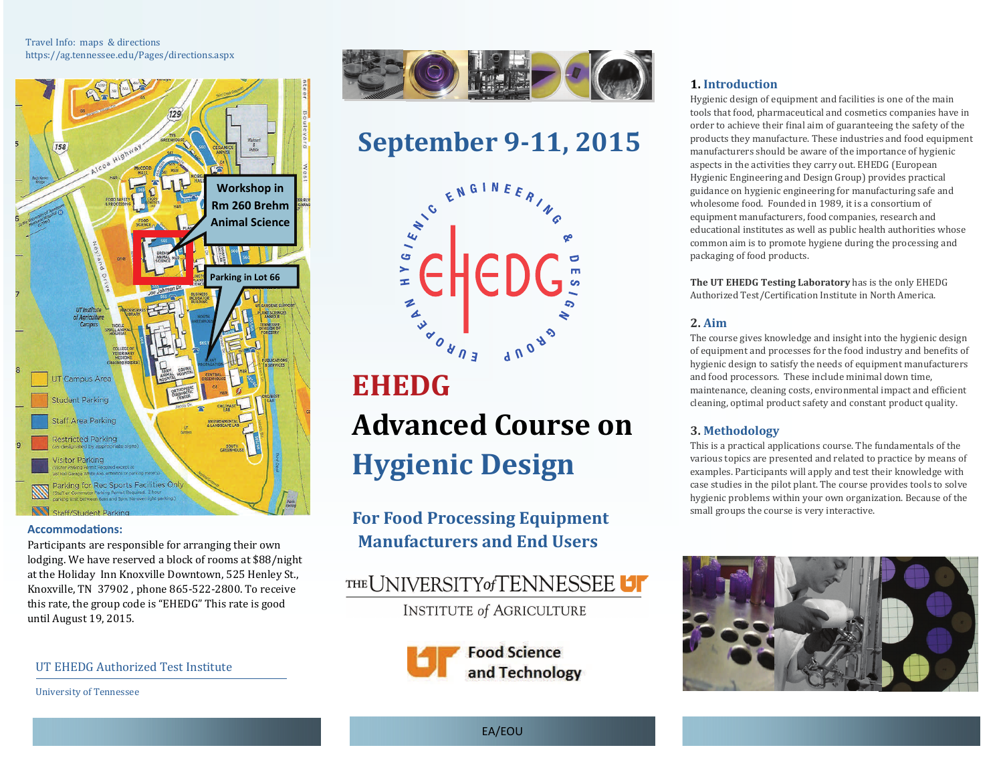Travel Info: maps & directions https://ag.tennessee.edu/Pages/directions.aspx 



#### **AccommodaƟons:**

Participants are responsible for arranging their own lodging. We have reserved a block of rooms at \$88/night at the Holiday Inn Knoxville Downtown, 525 Henley St., Knoxville, TN 37902, phone 865-522-2800. To receive this rate, the group code is "EHEDG" This rate is good until August 19, 2015.

UT EHEDG Authorized Test Institute

University of Tennessee 



# **September 9‐11, 2015**



# **EHEDGAdvanced Course onHygienic Design**

## **For Food Processing Equipment Manufacturers and End Users**





#### **1. Introduction**

Hygienic design of equipment and facilities is one of the main tools that food, pharmaceutical and cosmetics companies have in order to achieve their final aim of guaranteeing the safety of the products they manufacture. These industries and food equipment manufacturers should be aware of the importance of hygienic aspects in the activities they carry out. EHEDG (European Hygienic Engineering and Design Group) provides practical guidance on hygienic engineering for manufacturing safe and wholesome food. Founded in 1989, it is a consortium of equipment manufacturers, food companies, research and educational institutes as well as public health authorities whose common aim is to promote hygiene during the processing and packaging of food products.

**The UT EHEDG Testing Laboratory** has is the only EHEDG Authorized Test/Certification Institute in North America.

#### **2. Aim**

The course gives knowledge and insight into the hygienic design of equipment and processes for the food industry and benefits of hygienic design to satisfy the needs of equipment manufacturers and food processors. These include minimal down time, maintenance, cleaning costs, environmental impact and efficient cleaning, optimal product safety and constant product quality.

#### **3. Methodology**

This is a practical applications course. The fundamentals of the various topics are presented and related to practice by means of examples. Participants will apply and test their knowledge with case studies in the pilot plant. The course provides tools to solve hygienic problems within your own organization. Because of the small groups the course is very interactive.



EA/EOU